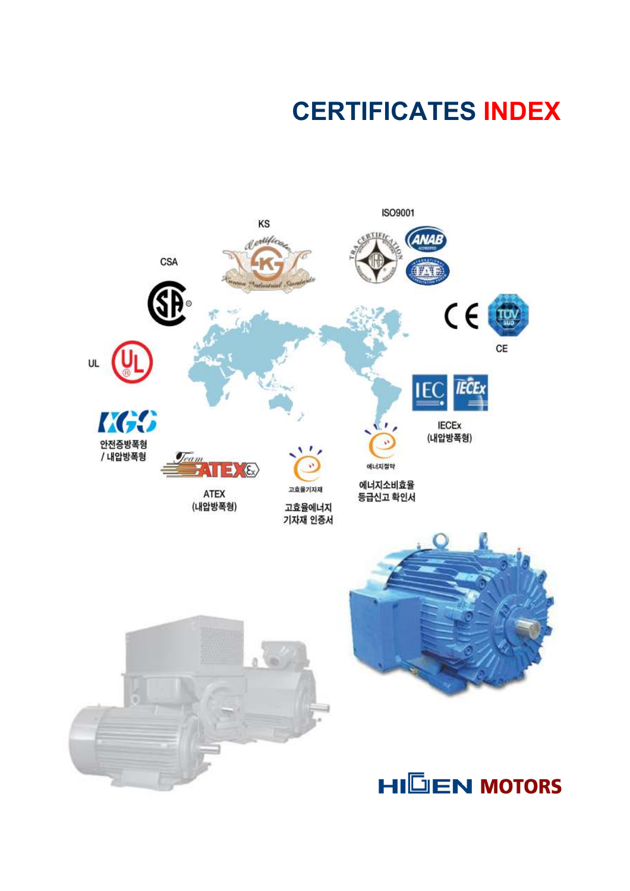## CERTIFICATES INDEX

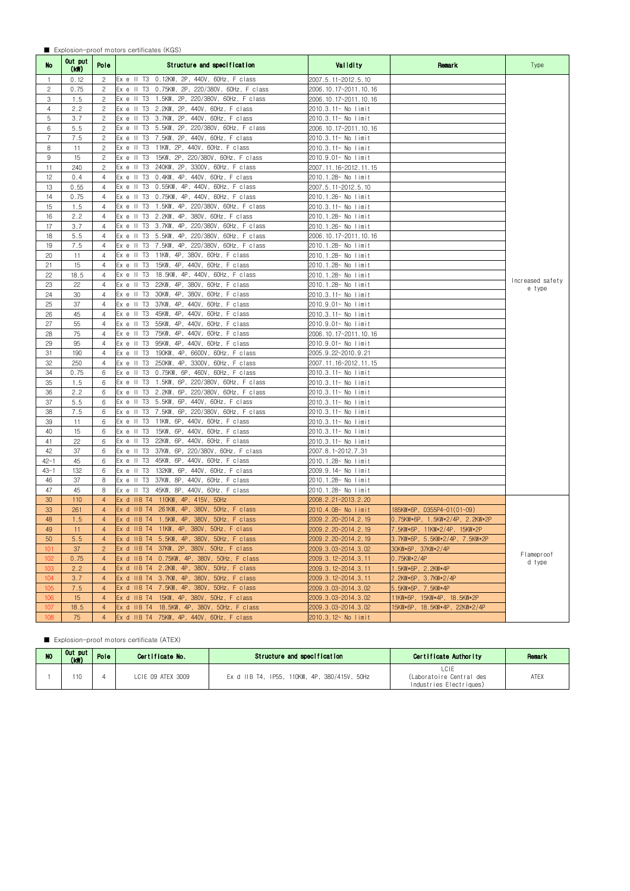## ■ Explosion-proof motors certificates (KGS)

| No.            | Out put<br>(KW) | Pole           | Structure and specification                         | Validity              | Remark                          | Type                       |
|----------------|-----------------|----------------|-----------------------------------------------------|-----------------------|---------------------------------|----------------------------|
| $\overline{1}$ | 0.12            | 2              | Ex e II T3 0.12KW, 2P, 440V, 60Hz, F class          | 2007.5.11~2012.5.10   |                                 |                            |
| $\overline{c}$ | 0.75            | $\overline{c}$ | Ex e II T3 0.75KW, 2P, 220/380V, 60Hz, F class      | 2006.10.17~2011.10.16 |                                 |                            |
| 3              | 1.5             | 2              | 1.5KW, 2P, 220/380V, 60Hz, F class<br>Ex e II T3    | 2006.10.17~2011.10.16 |                                 |                            |
| $\overline{4}$ | 2.2             | $\overline{c}$ | 2.2KW, 2P, 440V, 60Hz, F class<br>Ex e II T3        | 2010.3.11~ No limit   |                                 |                            |
| 5              | 3.7             | 2              | 3.7KW, 2P, 440V, 60Hz, F class<br>Ex e II T3        | 2010.3.11~ No limit   |                                 |                            |
| 6              | 5.5             | $\overline{c}$ | 5.5KW, 2P, 220/380V, 60Hz, F class<br>Ex e II T3    | 2006.10.17~2011.10.16 |                                 |                            |
| 7              | 7.5             | $\overline{c}$ | Ex e II T3<br>7.5KW, 2P, 440V, 60Hz, F class        | 2010.3.11~ No limit   |                                 |                            |
| 8              | 11              | 2              | 11KW, 2P, 440V, 60Hz, F class<br>Ex e II T3         | 2010.3.11~ No limit   |                                 |                            |
| 9              | 15              | 2              | Ex e II T3<br>15KW, 2P, 220/380V, 60Hz, F class     | 2010.9.01~ No limit   |                                 |                            |
| 11             | 240             | 2              | 240KW, 2P, 3300V, 60Hz, F class<br>Ex e II T3       | 2007.11.16~2012.11.15 |                                 |                            |
| 12             | 0.4             | $\overline{4}$ | 0.4KW, 4P, 440V, 60Hz, F class<br>Ex e II T3        | 2010.1.28~ No limit   |                                 |                            |
| 13             | 0.55            | 4              | 0.55KW, 4P, 440V, 60Hz, F class<br>Ex e II T3       | 2007.5.11~2012.5.10   |                                 |                            |
| 14             | 0.75            | 4              | 0.75KW, 4P, 440V, 60Hz, F class<br>Ex e II T3       | 2010.1.26~ No limit   |                                 |                            |
| 15             | 1.5             | 4              | Ex e II T3<br>1.5KW, 4P, 220/380V, 60Hz, F class    | 2010.3.11~ No limit   |                                 |                            |
| 16             | 2.2             | $\overline{4}$ | 2.2KW, 4P, 380V, 60Hz, F class<br>Ex e II T3        | 2010.1.28~ No limit   |                                 |                            |
| 17             | 3.7             | 4              | 3.7KW, 4P, 220/380V, 60Hz, F class<br>Ex e II T3    | 2010.1.26~ No limit   |                                 |                            |
| 18             | 5.5             | 4              | 5.5KW, 4P, 220/380V, 60Hz, F class<br>Ex e II T3    | 2006.10.17~2011.10.16 |                                 |                            |
| 19             | 7.5             | 4              | 7.5KW, 4P, 220/380V, 60Hz, F class<br>Ex e II T3    | 2010.1.28~ No limit   |                                 |                            |
| 20             | 11              | 4              | 11KW, 4P, 380V, 60Hz, F class<br>Ex e II T3         | 2010.1.28~ No limit   |                                 |                            |
| 21             | 15              | $\overline{4}$ | 15KW, 4P, 440V, 60Hz, F class<br>Ex e II T3         | 2010.1.28~ No limit   |                                 |                            |
| 22             | 18.5            | 4              | 18.5KW, 4P, 440V, 60Hz, F class<br>Ex e II T3       | 2010.1.28~ No limit   |                                 |                            |
| 23             | 22              | 4              | Ex e II T3<br>22KW, 4P, 380V, 60Hz, F class         | 2010.1.28~ No limit   |                                 | Increased safety<br>e type |
| 24             | 30              | 4              | Ex e II T3<br>30KW, 4P, 380V, 60Hz, F class         | 2010.3.11~ No limit   |                                 |                            |
| 25             | 37              | $\overline{4}$ | 37KW, 4P, 440V, 60Hz, F class<br>Ex e II T3         | 2010.9.01~ No limit   |                                 |                            |
| 26             | 45              | 4              | 45KW, 4P, 440V,<br>Ex e II T3<br>60Hz, F class      | 2010.3.11~ No limit   |                                 |                            |
| 27             | 55              | $\overline{4}$ | 55KW, 4P, 440V,<br>Ex e II T3<br>60Hz, F class      | 2010.9.01~ No limit   |                                 |                            |
| 28             | 75              | $\overline{4}$ | Ex e II T3<br>75KW, 4P, 440V, 60Hz, F class         | 2006.10.17~2011.10.16 |                                 |                            |
| 29             | 95              | 4              | 95KW, 4P, 440V, 60Hz, F class<br>Ex e II T3         | 2010.9.01~ No limit   |                                 |                            |
| 31             | 190             | $\overline{4}$ | 190KW, 4P, 6600V, 60Hz, F class<br>$Ex e$ $I1$ $T3$ | 2005.9.22~2010.9.21   |                                 |                            |
| 32             | 250             | 4              | 250KW, 4P, 3300V, 60Hz, F class<br>Ex e II T3       | 2007.11.16~2012.11.15 |                                 |                            |
| 34             | 0.75            | 6              | 0.75KW, 6P, 460V, 60Hz, F class<br>Ex e II T3       | 2010.3.11~ No limit   |                                 |                            |
| 35             | 1.5             | 6              | 1.5KW, 6P, 220/380V, 60Hz, F class<br>Ex e II T3    | 2010.3.11~ No limit   |                                 |                            |
| 36             | 2.2             | 6              | Ex e II T3<br>2.2KW, 6P, 220/380V, 60Hz, F class    | 2010.3.11~ No limit   |                                 |                            |
| 37             | 5.5             | 6              | 5.5KW, 6P, 440V, 60Hz, F class<br>Ex e II T3        | 2010.3.11~ No limit   |                                 |                            |
| 38             | 7.5             | 6              | 7.5KW, 6P, 220/380V, 60Hz, F class<br>Ex e II T3    | 2010.3.11~ No limit   |                                 |                            |
| 39             | 11              | 6              | 11KW, 6P, 440V, 60Hz, F class<br>Ex e II T3         | 2010.3.11~ No limit   |                                 |                            |
| 40             | 15              | 6              | 15KW, 6P, 440V, 60Hz, F class<br>Ex e II T3         | 2010.3.11~ No limit   |                                 |                            |
| 41             | 22              | 6              | Ex e II T3<br>22KW, 6P, 440V, 60Hz, F class         | 2010.3.11~ No limit   |                                 |                            |
| 42             | 37              | 6              | 37KW, 6P, 220/380V, 60Hz, F class<br>Ex e II T3     | 2007.8.1~2012.7.31    |                                 |                            |
| $42 - 1$       | 45              | 6              | Ex e II T3<br>45KW, 6P, 440V, 60Hz, F class         | 2010.1.28~ No limit   |                                 |                            |
| $43 - 1$       | 132             | 6              | 132KW, 6P, 440V, 60Hz, F class<br>$Ex e$ II T3      | 2009.9.14~ No limit   |                                 |                            |
| 46             | 37              | 8              | 37KW, 8P, 440V, 60Hz, F class<br>Ex e II T3         | 2010.1.28~ No limit   |                                 |                            |
| 47             | 45              | 8              | 45KW, 8P, 440V, 60Hz, F class<br>Ex e II T3         | 2010.1.28~ No limit   |                                 |                            |
| 30             | 110             | $\overline{4}$ | Ex d IIB T4 110KW, 4P, 415V, 50Hz                   | 2008.2.21~2013.2.20   |                                 |                            |
| 33             | 261             | $\overline{4}$ | Ex d IIB T4<br>261KW, 4P, 380V, 50Hz, F class       | 2010.4.08~ No limit   | 185KW*6P, D355P4-01(01~09)      |                            |
| 48             | 1.5             | $\overline{4}$ | Ex d IIB T4 1.5KW, 4P, 380V, 50Hz, F class          | 2009.2.20~2014.2.19   | 0.75KW*6P, 1.5KW*2/4P, 2.2KW*2P |                            |
| 49             | 11              | $\overline{4}$ | Ex d IIB T4 11KW, 4P, 380V, 50Hz, F class           | 2009.2.20~2014.2.19   | 7.5KW*6P, 11KW*2/4P, 15KW*2P    |                            |
| 50             | 5.5             | $\overline{4}$ | Ex d IIB T4 5.5KW, 4P, 380V, 50Hz, F class          | 2009.2.20~2014.2.19   | 3.7KW*6P, 5.5KW*2/4P, 7.5KW*2P  |                            |
| 101            | 37              | $\overline{c}$ | Ex d IIB T4 37KW, 2P, 380V, 50Hz, F class           | 2009.3.03~2014.3.02   | 30KW*6P, 37KW*2/4P              | Flameproof                 |
| 102            | 0.75            | $\overline{4}$ | Ex d IIB T4 0.75KW, 4P, 380V, 50Hz, F class         | 2009.3.12~2014.3.11   | 0.75KW*2/4P                     | d type                     |
| 103            | 2.2             | $\overline{4}$ | Ex d IIB T4 2.2KW, 4P, 380V, 50Hz, F class          | 2009.3.12~2014.3.11   | 1.5KW*6P, 2.2KW*4P              |                            |
| 104            | 3.7             | $\overline{4}$ | Ex d IIB T4 3.7KW, 4P, 380V, 50Hz, F class          | 2009.3.12~2014.3.11   | 2.2KW*6P, 3.7KW*2/4P            |                            |
| 105            | 7.5             | $\overline{4}$ | Ex d IIB T4 7.5KW, 4P, 380V, 50Hz, F class          | 2009.3.03~2014.3.02   | 5.5KW*6P, 7.5KW*4P              |                            |
| 106            | 15              | $\overline{4}$ | Ex d IIB T4 15KW, 4P, 380V, 50Hz, F class           | 2009.3.03~2014.3.02   | 11KW*6P, 15KW*4P, 18.5KW*2P     |                            |
| 107            | 18.5            | $\overline{4}$ | Ex d IIB T4 18.5KW, 4P, 380V, 50Hz, F class         | 2009.3.03~2014.3.02   | 15KW*6P, 18.5KW*4P, 22KW*2/4P   |                            |
| 108            | 75              | $\overline{4}$ | Ex d IIB T4 75KW, 4P, 440V, 60Hz, F class           | 2010.3.12~ No limit   |                                 |                            |

## ■ Explosion-proof motors certificate (ATEX)

| N <sub>0</sub> | Out put I<br>(kW) | Pole | Certificate No.   | Structure and specification                  | Certificate Authority                                              | Remark |
|----------------|-------------------|------|-------------------|----------------------------------------------|--------------------------------------------------------------------|--------|
|                | $110 -$           |      | LCIE 09 ATEX 3009 | Ex d IIB T4, IP55, 110KW, 4P, 380/415V, 50Hz | <b>LCIF</b><br>(Laboratoire Central des<br>Industries Electriques) | ATEX   |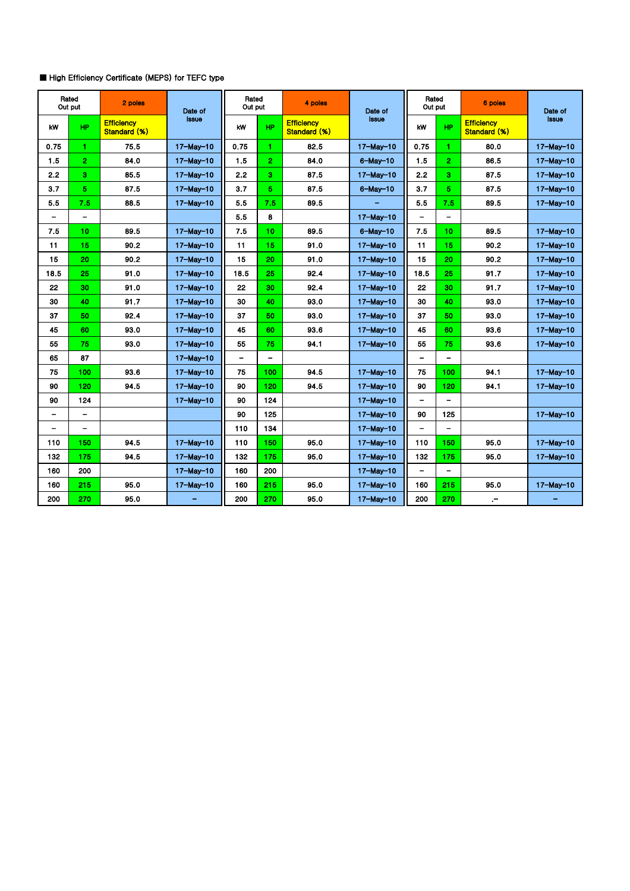## ■ High Efficiency Certificate (MEPS) for TEFC type

| Rated<br>Out put |                   | 2 poles                           | Date of          | Rated<br>Out put         |                          | 4 poles                           | Date of          | Rated<br>Out put         |                | 6 poles                           | Date of          |
|------------------|-------------------|-----------------------------------|------------------|--------------------------|--------------------------|-----------------------------------|------------------|--------------------------|----------------|-----------------------------------|------------------|
| <b>kW</b>        | <b>HP</b>         | <b>Efficiency</b><br>Standard (%) | Issue            | kW                       | <b>HP</b>                | <b>Efficiency</b><br>Standard (%) | Issue            | kW                       | <b>HP</b>      | <b>Efficiency</b><br>Standard (%) | Issue            |
| 0.75             | 1                 | 75.5                              | $17-May-10$      | 0.75                     | 1.                       | 82.5                              | $17-May-10$      | 0.75                     | 1.             | 80.0                              | $17-May-10$      |
| 1.5              | $\overline{2}$    | 84.0                              | $17 - May - 10$  | 1.5                      | $\mathbf{2}$             | 84.0                              | $6$ -May-10      | 1.5                      | $\overline{2}$ | 86.5                              | $17 - May - 10$  |
| 2.2              | 3                 | 85.5                              | $17 -$ May $-10$ | 2.2                      | 3.                       | 87.5                              | $17 - May - 10$  | 2.2                      | 3              | 87.5                              | $17 -$ May $-10$ |
| 3.7              | 5                 | 87.5                              | $17 - May - 10$  | 3.7                      | 5.                       | 87.5                              | $6$ -May-10      | 3.7                      | 5              | 87.5                              | $17 - May - 10$  |
| 5.5              | 7.5               | 88.5                              | $17 -$ May $-10$ | 5.5                      | 7.5                      | 89.5                              |                  | 5.5                      | 7.5            | 89.5                              | $17 -$ May $-10$ |
|                  |                   |                                   |                  | 5.5                      | 8                        |                                   | $17 - May - 10$  |                          |                |                                   |                  |
| 7.5              | 10                | 89.5                              | 17-May-10        | 7.5                      | 10                       | 89.5                              | $6 - May - 10$   | 7.5                      | 10             | 89.5                              | $17-Mav-10$      |
| 11               | 15                | 90.2                              | $17-May-10$      | 11                       | 15                       | 91.0                              | $17-May-10$      | 11                       | 15             | 90.2                              | 17-May-10        |
| 15               | 20                | 90.2                              | $17-May-10$      | 15                       | 20                       | 91.0                              | 17-May-10        | 15                       | 20             | 90.2                              | $17 -$ May $-10$ |
| 18.5             | 25                | 91.0                              | $17 - May - 10$  | 18.5                     | 25                       | 92.4                              | $17 - May - 10$  | 18.5                     | 25             | 91.7                              | 17-May-10        |
| 22               | 30                | 91.0                              | 17-May-10        | 22                       | 30                       | 92.4                              | 17-May-10        | 22                       | 30             | 91.7                              | 17-May-10        |
| 30               | 40                | 91.7                              | $17-May-10$      | 30                       | 40                       | 93.0                              | $17 - May - 10$  | 30                       | 40             | 93.0                              | $17-May-10$      |
| 37               | 50                | 92.4                              | 17-May-10        | 37                       | 50                       | 93.0                              | 17-May-10        | 37                       | 50             | 93.0                              | 17-May-10        |
| 45               | 60                | 93.0                              | $17 - May - 10$  | 45                       | 60                       | 93.6                              | $17 - May - 10$  | 45                       | 60             | 93.6                              | $17-May-10$      |
| 55               | 75                | 93.0                              | $17-May-10$      | 55                       | 75.                      | 94.1                              | $17-May-10$      | 55                       | 75             | 93.6                              | $17-May-10$      |
| 65               | 87                |                                   | $17 -$ May $-10$ | $\overline{\phantom{0}}$ | $\overline{\phantom{0}}$ |                                   |                  | $\overline{\phantom{0}}$ |                |                                   |                  |
| 75               | 100               | 93.6                              | $17 - May - 10$  | 75                       | 100                      | 94.5                              | $17-May-10$      | 75                       | 100            | 94.1                              | $17-May-10$      |
| 90               | 120               | 94.5                              | $17 -$ May $-10$ | 90                       | 120                      | 94.5                              | $17 -$ May $-10$ | 90                       | 120            | 94.1                              | $17 -$ May $-10$ |
| 90               | 124               |                                   | $17-May-10$      | 90                       | 124                      |                                   | $17 - May - 10$  | $\overline{\phantom{a}}$ |                |                                   |                  |
| -                | $\qquad \qquad -$ |                                   |                  | 90                       | 125                      |                                   | $17 - May - 10$  | 90                       | 125            |                                   | $17-Mav-10$      |
| -                | $\qquad \qquad -$ |                                   |                  | 110                      | 134                      |                                   | $17 - May - 10$  | $\overline{\phantom{a}}$ |                |                                   |                  |
| 110              | 150               | 94.5                              | $17-Mav-10$      | 110                      | 150                      | 95.0                              | $17 -$ May $-10$ | 110                      | 150            | 95.0                              | $17 -$ May $-10$ |
| 132              | 175               | 94.5                              | $17-Mav-10$      | 132                      | 175                      | 95.0                              | $17 -$ Mav $-10$ | 132                      | 175            | 95.0                              | $17-Mav-10$      |
| 160              | 200               |                                   | $17-May-10$      | 160                      | 200                      |                                   | $17 - May - 10$  | $\overline{\phantom{0}}$ |                |                                   |                  |
| 160              | 215               | 95.0                              | $17-May-10$      | 160                      | 215                      | 95.0                              | $17-May-10$      | 160                      | 215            | 95.0                              | $17-May-10$      |
| 200              | 270               | 95.0                              |                  | 200                      | 270                      | 95.0                              | $17 - May - 10$  | 200                      | 270            | $\cdot$ -                         |                  |